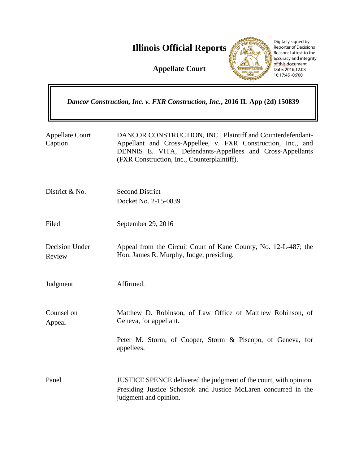**Illinois Official Reports** 

**Appellate Court**



Digitally signed by Reporter of Decisions Reason: I attest to the accuracy and integrity of this document Date: 2016.12.08 10:17:45 -06'00'

| Dancor Construction, Inc. v. FXR Construction, Inc., 2016 IL App (2d) 150839 |                                                                                                                                                                                                                                        |  |
|------------------------------------------------------------------------------|----------------------------------------------------------------------------------------------------------------------------------------------------------------------------------------------------------------------------------------|--|
| <b>Appellate Court</b><br>Caption                                            | DANCOR CONSTRUCTION, INC., Plaintiff and Counterdefendant-<br>Appellant and Cross-Appellee, v. FXR Construction, Inc., and<br>DENNIS E. VITA, Defendants-Appellees and Cross-Appellants<br>(FXR Construction, Inc., Counterplaintiff). |  |
| District & No.                                                               | <b>Second District</b><br>Docket No. 2-15-0839                                                                                                                                                                                         |  |
| Filed                                                                        | September 29, 2016                                                                                                                                                                                                                     |  |
| <b>Decision Under</b><br>Review                                              | Appeal from the Circuit Court of Kane County, No. 12-L-487; the<br>Hon. James R. Murphy, Judge, presiding.                                                                                                                             |  |
| Judgment                                                                     | Affirmed.                                                                                                                                                                                                                              |  |
| Counsel on<br>Appeal                                                         | Matthew D. Robinson, of Law Office of Matthew Robinson, of<br>Geneva, for appellant.                                                                                                                                                   |  |
|                                                                              | Peter M. Storm, of Cooper, Storm & Piscopo, of Geneva, for<br>appellees.                                                                                                                                                               |  |
| Panel                                                                        | JUSTICE SPENCE delivered the judgment of the court, with opinion.<br>Presiding Justice Schostok and Justice McLaren concurred in the<br>judgment and opinion.                                                                          |  |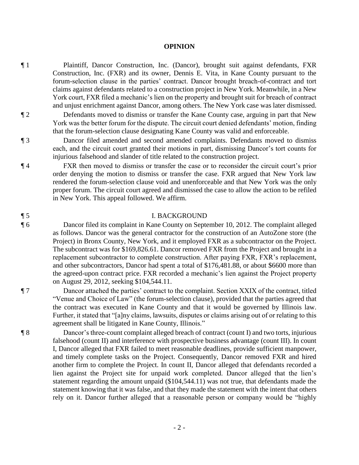### **OPINION**

- ¶ 1 Plaintiff, Dancor Construction, Inc. (Dancor), brought suit against defendants, FXR Construction, Inc. (FXR) and its owner, Dennis E. Vita, in Kane County pursuant to the forum-selection clause in the parties' contract. Dancor brought breach-of-contract and tort claims against defendants related to a construction project in New York. Meanwhile, in a New York court, FXR filed a mechanic's lien on the property and brought suit for breach of contract and unjust enrichment against Dancor, among others. The New York case was later dismissed.
- ¶ 2 Defendants moved to dismiss or transfer the Kane County case, arguing in part that New York was the better forum for the dispute. The circuit court denied defendants' motion, finding that the forum-selection clause designating Kane County was valid and enforceable.

¶ 3 Dancor filed amended and second amended complaints. Defendants moved to dismiss each, and the circuit court granted their motions in part, dismissing Dancor's tort counts for injurious falsehood and slander of title related to the construction project.

¶ 4 FXR then moved to dismiss or transfer the case or to reconsider the circuit court's prior order denying the motion to dismiss or transfer the case. FXR argued that New York law rendered the forum-selection clause void and unenforceable and that New York was the only proper forum. The circuit court agreed and dismissed the case to allow the action to be refiled in New York. This appeal followed. We affirm.

### ¶ 5 I. BACKGROUND

¶ 6 Dancor filed its complaint in Kane County on September 10, 2012. The complaint alleged as follows. Dancor was the general contractor for the construction of an AutoZone store (the Project) in Bronx County, New York, and it employed FXR as a subcontractor on the Project. The subcontract was for \$169,826.61. Dancor removed FXR from the Project and brought in a replacement subcontractor to complete construction. After paying FXR, FXR's replacement, and other subcontractors, Dancor had spent a total of \$176,481.88, or about \$6600 more than the agreed-upon contract price. FXR recorded a mechanic's lien against the Project property on August 29, 2012, seeking \$104,544.11.

¶ 7 Dancor attached the parties' contract to the complaint. Section XXIX of the contract, titled "Venue and Choice of Law" (the forum-selection clause), provided that the parties agreed that the contract was executed in Kane County and that it would be governed by Illinois law. Further, it stated that "[a]ny claims, lawsuits, disputes or claims arising out of or relating to this agreement shall be litigated in Kane County, Illinois."

¶ 8 Dancor's three-count complaint alleged breach of contract (count I) and two torts, injurious falsehood (count II) and interference with prospective business advantage (count III). In count I, Dancor alleged that FXR failed to meet reasonable deadlines, provide sufficient manpower, and timely complete tasks on the Project. Consequently, Dancor removed FXR and hired another firm to complete the Project. In count II, Dancor alleged that defendants recorded a lien against the Project site for unpaid work completed. Dancor alleged that the lien's statement regarding the amount unpaid (\$104,544.11) was not true, that defendants made the statement knowing that it was false, and that they made the statement with the intent that others rely on it. Dancor further alleged that a reasonable person or company would be "highly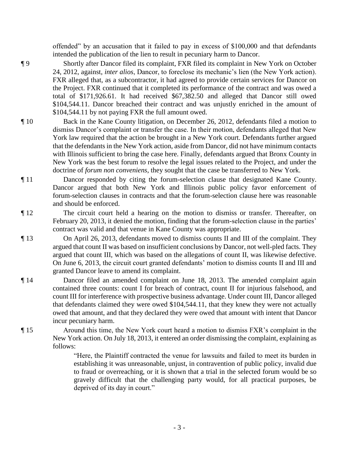offended" by an accusation that it failed to pay in excess of \$100,000 and that defendants intended the publication of the lien to result in pecuniary harm to Dancor.

¶ 9 Shortly after Dancor filed its complaint, FXR filed its complaint in New York on October 24, 2012, against, *inter alios*, Dancor, to foreclose its mechanic's lien (the New York action). FXR alleged that, as a subcontractor, it had agreed to provide certain services for Dancor on the Project. FXR continued that it completed its performance of the contract and was owed a total of \$171,926.61. It had received \$67,382.50 and alleged that Dancor still owed \$104,544.11. Dancor breached their contract and was unjustly enriched in the amount of \$104,544.11 by not paying FXR the full amount owed.

- ¶ 10 Back in the Kane County litigation, on December 26, 2012, defendants filed a motion to dismiss Dancor's complaint or transfer the case. In their motion, defendants alleged that New York law required that the action be brought in a New York court. Defendants further argued that the defendants in the New York action, aside from Dancor, did not have minimum contacts with Illinois sufficient to bring the case here. Finally, defendants argued that Bronx County in New York was the best forum to resolve the legal issues related to the Project, and under the doctrine of *forum non conveniens*, they sought that the case be transferred to New York.
- ¶ 11 Dancor responded by citing the forum-selection clause that designated Kane County. Dancor argued that both New York and Illinois public policy favor enforcement of forum-selection clauses in contracts and that the forum-selection clause here was reasonable and should be enforced.
- ¶ 12 The circuit court held a hearing on the motion to dismiss or transfer. Thereafter, on February 20, 2013, it denied the motion, finding that the forum-selection clause in the parties' contract was valid and that venue in Kane County was appropriate.
- ¶ 13 On April 26, 2013, defendants moved to dismiss counts II and III of the complaint. They argued that count II was based on insufficient conclusions by Dancor, not well-pled facts. They argued that count III, which was based on the allegations of count II, was likewise defective. On June 6, 2013, the circuit court granted defendants' motion to dismiss counts II and III and granted Dancor leave to amend its complaint.
- ¶ 14 Dancor filed an amended complaint on June 18, 2013. The amended complaint again contained three counts: count I for breach of contract, count II for injurious falsehood, and count III for interference with prospective business advantage. Under count III, Dancor alleged that defendants claimed they were owed \$104,544.11, that they knew they were not actually owed that amount, and that they declared they were owed that amount with intent that Dancor incur pecuniary harm.
- ¶ 15 Around this time, the New York court heard a motion to dismiss FXR's complaint in the New York action. On July 18, 2013, it entered an order dismissing the complaint, explaining as follows:

"Here, the Plaintiff contracted the venue for lawsuits and failed to meet its burden in establishing it was unreasonable, unjust, in contravention of public policy, invalid due to fraud or overreaching, or it is shown that a trial in the selected forum would be so gravely difficult that the challenging party would, for all practical purposes, be deprived of its day in court."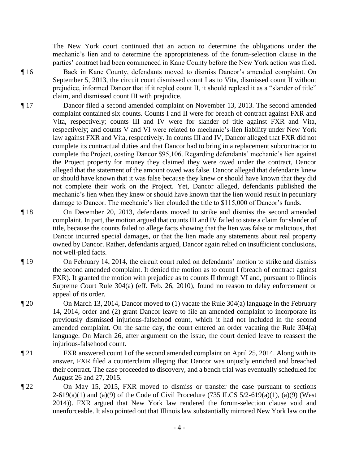The New York court continued that an action to determine the obligations under the mechanic's lien and to determine the appropriateness of the forum-selection clause in the parties' contract had been commenced in Kane County before the New York action was filed.

¶ 16 Back in Kane County, defendants moved to dismiss Dancor's amended complaint. On September 5, 2013, the circuit court dismissed count I as to Vita, dismissed count II without prejudice, informed Dancor that if it repled count II, it should replead it as a "slander of title" claim, and dismissed count III with prejudice.

- ¶ 17 Dancor filed a second amended complaint on November 13, 2013. The second amended complaint contained six counts. Counts I and II were for breach of contract against FXR and Vita, respectively; counts III and IV were for slander of title against FXR and Vita, respectively; and counts V and VI were related to mechanic's-lien liability under New York law against FXR and Vita, respectively. In counts III and IV, Dancor alleged that FXR did not complete its contractual duties and that Dancor had to bring in a replacement subcontractor to complete the Project, costing Dancor \$95,106. Regarding defendants' mechanic's lien against the Project property for money they claimed they were owed under the contract, Dancor alleged that the statement of the amount owed was false. Dancor alleged that defendants knew or should have known that it was false because they knew or should have known that they did not complete their work on the Project. Yet, Dancor alleged, defendants published the mechanic's lien when they knew or should have known that the lien would result in pecuniary damage to Dancor. The mechanic's lien clouded the title to \$115,000 of Dancor's funds.
- ¶ 18 On December 20, 2013, defendants moved to strike and dismiss the second amended complaint. In part, the motion argued that counts III and IV failed to state a claim for slander of title, because the counts failed to allege facts showing that the lien was false or malicious, that Dancor incurred special damages, or that the lien made any statements about real property owned by Dancor. Rather, defendants argued, Dancor again relied on insufficient conclusions, not well-pled facts.
- ¶ 19 On February 14, 2014, the circuit court ruled on defendants' motion to strike and dismiss the second amended complaint. It denied the motion as to count I (breach of contract against FXR). It granted the motion with prejudice as to counts II through VI and, pursuant to Illinois Supreme Court Rule 304(a) (eff. Feb. 26, 2010), found no reason to delay enforcement or appeal of its order.
- ¶ 20 On March 13, 2014, Dancor moved to (1) vacate the Rule 304(a) language in the February 14, 2014, order and (2) grant Dancor leave to file an amended complaint to incorporate its previously dismissed injurious-falsehood count, which it had not included in the second amended complaint. On the same day, the court entered an order vacating the Rule 304(a) language. On March 26, after argument on the issue, the court denied leave to reassert the injurious-falsehood count.
- ¶ 21 FXR answered count I of the second amended complaint on April 25, 2014. Along with its answer, FXR filed a counterclaim alleging that Dancor was unjustly enriched and breached their contract. The case proceeded to discovery, and a bench trial was eventually scheduled for August 26 and 27, 2015.
- ¶ 22 On May 15, 2015, FXR moved to dismiss or transfer the case pursuant to sections 2-619(a)(1) and (a)(9) of the Code of Civil Procedure (735 ILCS  $5/2$ -619(a)(1), (a)(9) (West 2014)). FXR argued that New York law rendered the forum-selection clause void and unenforceable. It also pointed out that Illinois law substantially mirrored New York law on the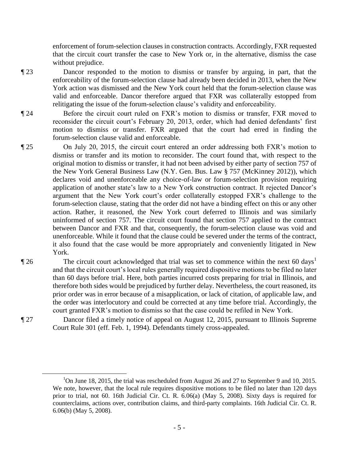enforcement of forum-selection clauses in construction contracts. Accordingly, FXR requested that the circuit court transfer the case to New York or, in the alternative, dismiss the case without prejudice.

¶ 23 Dancor responded to the motion to dismiss or transfer by arguing, in part, that the enforceability of the forum-selection clause had already been decided in 2013, when the New York action was dismissed and the New York court held that the forum-selection clause was valid and enforceable. Dancor therefore argued that FXR was collaterally estopped from relitigating the issue of the forum-selection clause's validity and enforceability.

¶ 24 Before the circuit court ruled on FXR's motion to dismiss or transfer, FXR moved to reconsider the circuit court's February 20, 2013, order, which had denied defendants' first motion to dismiss or transfer. FXR argued that the court had erred in finding the forum-selection clause valid and enforceable.

- ¶ 25 On July 20, 2015, the circuit court entered an order addressing both FXR's motion to dismiss or transfer and its motion to reconsider. The court found that, with respect to the original motion to dismiss or transfer, it had not been advised by either party of section 757 of the New York General Business Law (N.Y. Gen. Bus. Law § 757 (McKinney 2012)), which declares void and unenforceable any choice-of-law or forum-selection provision requiring application of another state's law to a New York construction contract. It rejected Dancor's argument that the New York court's order collaterally estopped FXR's challenge to the forum-selection clause, stating that the order did not have a binding effect on this or any other action. Rather, it reasoned, the New York court deferred to Illinois and was similarly uninformed of section 757. The circuit court found that section 757 applied to the contract between Dancor and FXR and that, consequently, the forum-selection clause was void and unenforceable. While it found that the clause could be severed under the terms of the contract, it also found that the case would be more appropriately and conveniently litigated in New York.
- $\P$  26 The circuit court acknowledged that trial was set to commence within the next 60 days<sup>1</sup> and that the circuit court's local rules generally required dispositive motions to be filed no later than 60 days before trial. Here, both parties incurred costs preparing for trial in Illinois, and therefore both sides would be prejudiced by further delay. Nevertheless, the court reasoned, its prior order was in error because of a misapplication, or lack of citation, of applicable law, and the order was interlocutory and could be corrected at any time before trial. Accordingly, the court granted FXR's motion to dismiss so that the case could be refiled in New York.

¶ 27 Dancor filed a timely notice of appeal on August 12, 2015, pursuant to Illinois Supreme Court Rule 301 (eff. Feb. 1, 1994). Defendants timely cross-appealed.

 $\overline{a}$ 

<sup>&</sup>lt;sup>1</sup>On June 18, 2015, the trial was rescheduled from August 26 and 27 to September 9 and 10, 2015. We note, however, that the local rule requires dispositive motions to be filed no later than 120 days prior to trial, not 60. 16th Judicial Cir. Ct. R. 6.06(a) (May 5, 2008). Sixty days is required for counterclaims, actions over, contribution claims, and third-party complaints. 16th Judicial Cir. Ct. R. 6.06(b) (May 5, 2008).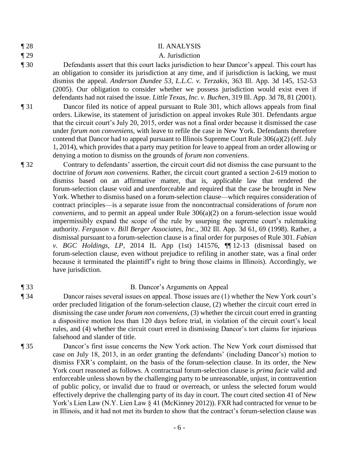|  | × |
|--|---|
|--|---|

# ¶ 28 II. ANALYSIS

## ¶ 29 A. Jurisdiction

- ¶ 30 Defendants assert that this court lacks jurisdiction to hear Dancor's appeal. This court has an obligation to consider its jurisdiction at any time, and if jurisdiction is lacking, we must dismiss the appeal. *Anderson Dundee 53, L.L.C. v. Terzakis*, 363 Ill. App. 3d 145, 152-53 (2005). Our obligation to consider whether we possess jurisdiction would exist even if defendants had not raised the issue. *Little Texas, Inc. v. Buchen*, 319 Ill. App. 3d 78, 81 (2001).
- ¶ 31 Dancor filed its notice of appeal pursuant to Rule 301, which allows appeals from final orders. Likewise, its statement of jurisdiction on appeal invokes Rule 301. Defendants argue that the circuit court's July 20, 2015, order was not a final order because it dismissed the case under *forum non conveniens*, with leave to refile the case in New York. Defendants therefore contend that Dancor had to appeal pursuant to Illinois Supreme Court Rule 306(a)(2) (eff. July 1, 2014), which provides that a party may petition for leave to appeal from an order allowing or denying a motion to dismiss on the grounds of *forum non conveniens*.
- ¶ 32 Contrary to defendants' assertion, the circuit court did not dismiss the case pursuant to the doctrine of *forum non conveniens*. Rather, the circuit court granted a section 2-619 motion to dismiss based on an affirmative matter, that is, applicable law that rendered the forum-selection clause void and unenforceable and required that the case be brought in New York. Whether to dismiss based on a forum-selection clause—which requires consideration of contract principles—is a separate issue from the noncontractual considerations of *forum non conveniens*, and to permit an appeal under Rule 306(a)(2) on a forum-selection issue would impermissibly expand the scope of the rule by usurping the supreme court's rulemaking authority. *Ferguson v. Bill Berger Associates, Inc.*, 302 Ill. App. 3d 61, 69 (1998). Rather, a dismissal pursuant to a forum-selection clause is a final order for purposes of Rule 301. *Fabian v. BGC Holdings, LP*, 2014 IL App (1st) 141576, ¶¶ 12-13 (dismissal based on forum-selection clause, even without prejudice to refiling in another state, was a final order because it terminated the plaintiff's right to bring those claims in Illinois). Accordingly, we have jurisdiction.

## ¶ 33 B. Dancor's Arguments on Appeal

- ¶ 34 Dancor raises several issues on appeal. Those issues are (1) whether the New York court's order precluded litigation of the forum-selection clause, (2) whether the circuit court erred in dismissing the case under *forum non conveniens*, (3) whether the circuit court erred in granting a dispositive motion less than 120 days before trial, in violation of the circuit court's local rules, and (4) whether the circuit court erred in dismissing Dancor's tort claims for injurious falsehood and slander of title.
- ¶ 35 Dancor's first issue concerns the New York action. The New York court dismissed that case on July 18, 2013, in an order granting the defendants' (including Dancor's) motion to dismiss FXR's complaint, on the basis of the forum-selection clause. In its order, the New York court reasoned as follows. A contractual forum-selection clause is *prima facie* valid and enforceable unless shown by the challenging party to be unreasonable, unjust, in contravention of public policy, or invalid due to fraud or overreach, or unless the selected forum would effectively deprive the challenging party of its day in court. The court cited section 41 of New York's Lien Law (N.Y. Lien Law § 41 (McKinney 2012)). FXR had contracted for venue to be in Illinois, and it had not met its burden to show that the contract's forum-selection clause was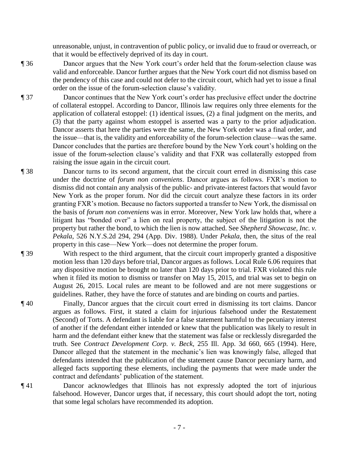unreasonable, unjust, in contravention of public policy, or invalid due to fraud or overreach, or that it would be effectively deprived of its day in court.

- ¶ 36 Dancor argues that the New York court's order held that the forum-selection clause was valid and enforceable. Dancor further argues that the New York court did not dismiss based on the pendency of this case and could not defer to the circuit court, which had yet to issue a final order on the issue of the forum-selection clause's validity.
- ¶ 37 Dancor continues that the New York court's order has preclusive effect under the doctrine of collateral estoppel. According to Dancor, Illinois law requires only three elements for the application of collateral estoppel: (1) identical issues, (2) a final judgment on the merits, and (3) that the party against whom estoppel is asserted was a party to the prior adjudication. Dancor asserts that here the parties were the same, the New York order was a final order, and the issue—that is, the validity and enforceability of the forum-selection clause—was the same. Dancor concludes that the parties are therefore bound by the New York court's holding on the issue of the forum-selection clause's validity and that FXR was collaterally estopped from raising the issue again in the circuit court.
- ¶ 38 Dancor turns to its second argument, that the circuit court erred in dismissing this case under the doctrine of *forum non conveniens*. Dancor argues as follows. FXR's motion to dismiss did not contain any analysis of the public- and private-interest factors that would favor New York as the proper forum. Nor did the circuit court analyze these factors in its order granting FXR's motion. Because no factors supported a transfer to New York, the dismissal on the basis of *forum non conveniens* was in error. Moreover, New York law holds that, where a litigant has "bonded over" a lien on real property, the subject of the litigation is not the property but rather the bond, to which the lien is now attached. See *Shepherd Showcase, Inc. v. Pekala*, 526 N.Y.S.2d 294, 294 (App. Div. 1988). Under *Pekala*, then, the situs of the real property in this case—New York—does not determine the proper forum.
- ¶ 39 With respect to the third argument, that the circuit court improperly granted a dispositive motion less than 120 days before trial, Dancor argues as follows. Local Rule 6.06 requires that any dispositive motion be brought no later than 120 days prior to trial. FXR violated this rule when it filed its motion to dismiss or transfer on May 15, 2015, and trial was set to begin on August 26, 2015. Local rules are meant to be followed and are not mere suggestions or guidelines. Rather, they have the force of statutes and are binding on courts and parties.
- ¶ 40 Finally, Dancor argues that the circuit court erred in dismissing its tort claims. Dancor argues as follows. First, it stated a claim for injurious falsehood under the Restatement (Second) of Torts. A defendant is liable for a false statement harmful to the pecuniary interest of another if the defendant either intended or knew that the publication was likely to result in harm and the defendant either knew that the statement was false or recklessly disregarded the truth. See *Contract Development Corp. v. Beck*, 255 Ill. App. 3d 660, 665 (1994). Here, Dancor alleged that the statement in the mechanic's lien was knowingly false, alleged that defendants intended that the publication of the statement cause Dancor pecuniary harm, and alleged facts supporting these elements, including the payments that were made under the contract and defendants' publication of the statement.
- ¶ 41 Dancor acknowledges that Illinois has not expressly adopted the tort of injurious falsehood. However, Dancor urges that, if necessary, this court should adopt the tort, noting that some legal scholars have recommended its adoption.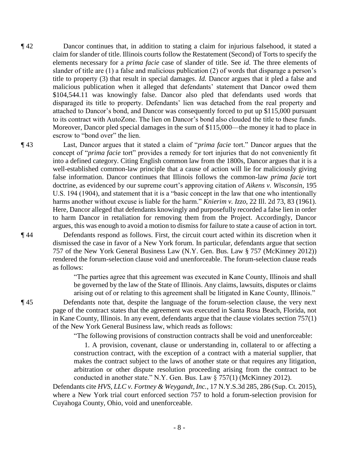- ¶ 42 Dancor continues that, in addition to stating a claim for injurious falsehood, it stated a claim for slander of title. Illinois courts follow the Restatement (Second) of Torts to specify the elements necessary for a *prima facie* case of slander of title. See *id.* The three elements of slander of title are (1) a false and malicious publication (2) of words that disparage a person's title to property (3) that result in special damages. *Id.* Dancor argues that it pled a false and malicious publication when it alleged that defendants' statement that Dancor owed them \$104,544.11 was knowingly false. Dancor also pled that defendants used words that disparaged its title to property. Defendants' lien was detached from the real property and attached to Dancor's bond, and Dancor was consequently forced to put up \$115,000 pursuant to its contract with AutoZone. The lien on Dancor's bond also clouded the title to these funds. Moreover, Dancor pled special damages in the sum of \$115,000—the money it had to place in escrow to "bond over" the lien.
- ¶ 43 Last, Dancor argues that it stated a claim of "*prima facie* tort." Dancor argues that the concept of "*prima facie* tort" provides a remedy for tort injuries that do not conveniently fit into a defined category. Citing English common law from the 1800s, Dancor argues that it is a well-established common-law principle that a cause of action will lie for maliciously giving false information. Dancor continues that Illinois follows the common-law *prima facie* tort doctrine, as evidenced by our supreme court's approving citation of *Aikens v. Wisconsin*, 195 U.S. 194 (1904), and statement that it is a "basic concept in the law that one who intentionally harms another without excuse is liable for the harm." *Knierim v. Izzo*, 22 Ill. 2d 73, 83 (1961). Here, Dancor alleged that defendants knowingly and purposefully recorded a false lien in order to harm Dancor in retaliation for removing them from the Project. Accordingly, Dancor argues, this was enough to avoid a motion to dismiss for failure to state a cause of action in tort.

¶ 44 Defendants respond as follows. First, the circuit court acted within its discretion when it dismissed the case in favor of a New York forum. In particular, defendants argue that section 757 of the New York General Business Law (N.Y. Gen. Bus. Law § 757 (McKinney 2012)) rendered the forum-selection clause void and unenforceable. The forum-selection clause reads as follows:

> "The parties agree that this agreement was executed in Kane County, Illinois and shall be governed by the law of the State of Illinois. Any claims, lawsuits, disputes or claims arising out of or relating to this agreement shall be litigated in Kane County, Illinois."

¶ 45 Defendants note that, despite the language of the forum-selection clause, the very next page of the contract states that the agreement was executed in Santa Rosa Beach, Florida, not in Kane County, Illinois. In any event, defendants argue that the clause violates section 757(1) of the New York General Business law, which reads as follows:

"The following provisions of construction contracts shall be void and unenforceable:

 1. A provision, covenant, clause or understanding in, collateral to or affecting a construction contract, with the exception of a contract with a material supplier, that makes the contract subject to the laws of another state or that requires any litigation, arbitration or other dispute resolution proceeding arising from the contract to be conducted in another state." N.Y. Gen. Bus. Law § 757(1) (McKinney 2012).

Defendants cite *HVS, LLC v. Fortney & Weygandt, Inc.*, 17 N.Y.S.3d 285, 286 (Sup. Ct. 2015), where a New York trial court enforced section 757 to hold a forum-selection provision for Cuyahoga County, Ohio, void and unenforceable.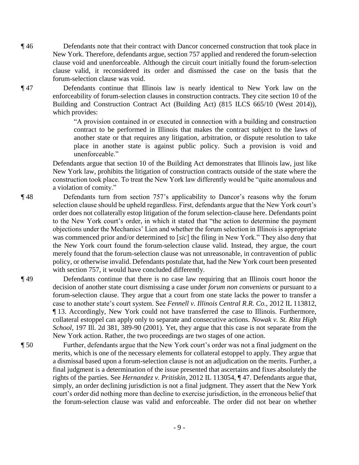¶ 46 Defendants note that their contract with Dancor concerned construction that took place in New York. Therefore, defendants argue, section 757 applied and rendered the forum-selection clause void and unenforceable. Although the circuit court initially found the forum-selection clause valid, it reconsidered its order and dismissed the case on the basis that the forum-selection clause was void.

¶ 47 Defendants continue that Illinois law is nearly identical to New York law on the enforceability of forum-selection clauses in construction contracts. They cite section 10 of the Building and Construction Contract Act (Building Act) (815 ILCS 665/10 (West 2014)), which provides:

> "A provision contained in or executed in connection with a building and construction contract to be performed in Illinois that makes the contract subject to the laws of another state or that requires any litigation, arbitration, or dispute resolution to take place in another state is against public policy. Such a provision is void and unenforceable<sup>"</sup>

Defendants argue that section 10 of the Building Act demonstrates that Illinois law, just like New York law, prohibits the litigation of construction contracts outside of the state where the construction took place. To treat the New York law differently would be "quite anomalous and a violation of comity."

- ¶ 48 Defendants turn from section 757's applicability to Dancor's reasons why the forum selection clause should be upheld regardless. First, defendants argue that the New York court's order does not collaterally estop litigation of the forum selection-clause here. Defendants point to the New York court's order, in which it stated that "the action to determine the payment objections under the Mechanics' Lien and whether the forum selection in Illinois is appropriate was commenced prior and/or determined to [*sic*] the filing in New York." They also deny that the New York court found the forum-selection clause valid. Instead, they argue, the court merely found that the forum-selection clause was not unreasonable, in contravention of public policy, or otherwise invalid. Defendants postulate that, had the New York court been presented with section 757, it would have concluded differently.
- ¶ 49 Defendants continue that there is no case law requiring that an Illinois court honor the decision of another state court dismissing a case under *forum non conveniens* or pursuant to a forum-selection clause. They argue that a court from one state lacks the power to transfer a case to another state's court system. See *Fennell v. Illinois Central R.R. Co.*, 2012 IL 113812, ¶ 13. Accordingly, New York could not have transferred the case to Illinois. Furthermore, collateral estoppel can apply only to separate and consecutive actions. *Nowak v. St. Rita High School*, 197 Ill. 2d 381, 389-90 (2001). Yet, they argue that this case is not separate from the New York action. Rather, the two proceedings are two stages of one action.
- ¶ 50 Further, defendants argue that the New York court's order was not a final judgment on the merits, which is one of the necessary elements for collateral estoppel to apply. They argue that a dismissal based upon a forum-selection clause is not an adjudication on the merits. Further, a final judgment is a determination of the issue presented that ascertains and fixes absolutely the rights of the parties. See *Hernandez v. Pritiskin*, 2012 IL 113054, ¶ 47. Defendants argue that, simply, an order declining jurisdiction is not a final judgment. They assert that the New York court's order did nothing more than decline to exercise jurisdiction, in the erroneous belief that the forum-selection clause was valid and enforceable. The order did not bear on whether
	- 9 -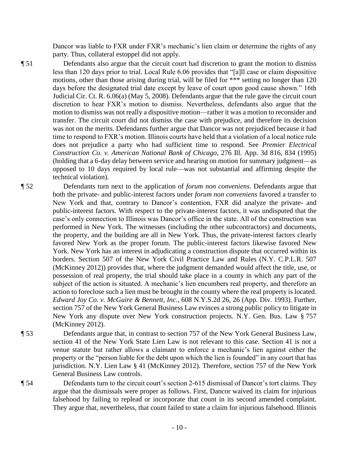Dancor was liable to FXR under FXR's mechanic's lien claim or determine the rights of any party. Thus, collateral estoppel did not apply.

¶ 51 Defendants also argue that the circuit court had discretion to grant the motion to dismiss less than 120 days prior to trial. Local Rule 6.06 provides that "[a]ll case or claim dispositive motions, other than those arising during trial, will be filed for \*\*\* setting no longer than 120 days before the designated trial date except by leave of court upon good cause shown." 16th Judicial Cir. Ct. R. 6.06(a) (May 5, 2008). Defendants argue that the rule gave the circuit court discretion to hear FXR's motion to dismiss. Nevertheless, defendants also argue that the motion to dismiss was not really a dispositive motion—rather it was a motion to reconsider and transfer. The circuit court did not dismiss the case with prejudice, and therefore its decision was not on the merits. Defendants further argue that Dancor was not prejudiced because it had time to respond to FXR's motion. Illinois courts have held that a violation of a local notice rule does not prejudice a party who had sufficient time to respond. See *Premier Electrical Construction Co. v. American National Bank of Chicago*, 276 Ill. App. 3d 816, 834 (1995) (holding that a 6-day delay between service and hearing on motion for summary judgment—as opposed to 10 days required by local rule—was not substantial and affirming despite the technical violation).

- ¶ 52 Defendants turn next to the application of *forum non conveniens*. Defendants argue that both the private- and public-interest factors under *forum non conveniens* favored a transfer to New York and that, contrary to Dancor's contention, FXR did analyze the private- and public-interest factors. With respect to the private-interest factors, it was undisputed that the case's only connection to Illinois was Dancor's office in the state. All of the construction was performed in New York. The witnesses (including the other subcontractors) and documents, the property, and the building are all in New York. Thus, the private-interest factors clearly favored New York as the proper forum. The public-interest factors likewise favored New York. New York has an interest in adjudicating a construction dispute that occurred within its borders. Section 507 of the New York Civil Practice Law and Rules (N.Y. C.P.L.R. 507 (McKinney 2012)) provides that, where the judgment demanded would affect the title, use, or possession of real property, the trial should take place in a county in which any part of the subject of the action is situated. A mechanic's lien encumbers real property, and therefore an action to foreclose such a lien must be brought in the county where the real property is located. *Edward Joy Co. v. McGuire & Bennett, Inc.*, 608 N.Y.S.2d 26, 26 (App. Div. 1993). Further, section 757 of the New York General Business Law evinces a strong public policy to litigate in New York any dispute over New York construction projects. N.Y. Gen. Bus. Law § 757 (McKinney 2012).
- ¶ 53 Defendants argue that, in contrast to section 757 of the New York General Business Law, section 41 of the New York State Lien Law is not relevant to this case. Section 41 is not a venue statute but rather allows a claimant to enforce a mechanic's lien against either the property or the "person liable for the debt upon which the lien is founded" in any court that has jurisdiction. N.Y. Lien Law § 41 (McKinney 2012). Therefore, section 757 of the New York General Business Law controls.
-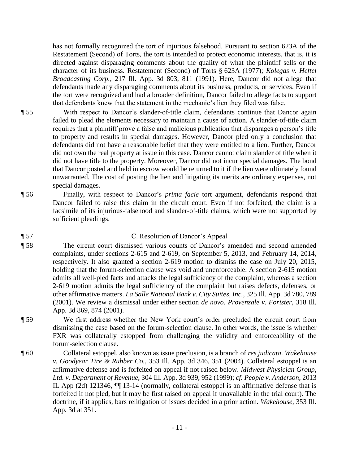has not formally recognized the tort of injurious falsehood. Pursuant to section 623A of the Restatement (Second) of Torts, the tort is intended to protect economic interests, that is, it is directed against disparaging comments about the quality of what the plaintiff sells or the character of its business. Restatement (Second) of Torts § 623A (1977); *Kolegas v. Heftel Broadcasting Corp.*, 217 Ill. App. 3d 803, 811 (1991). Here, Dancor did not allege that defendants made any disparaging comments about its business, products, or services. Even if the tort were recognized and had a broader definition, Dancor failed to allege facts to support that defendants knew that the statement in the mechanic's lien they filed was false.

- ¶ 55 With respect to Dancor's slander-of-title claim, defendants continue that Dancor again failed to plead the elements necessary to maintain a cause of action. A slander-of-title claim requires that a plaintiff prove a false and malicious publication that disparages a person's title to property and results in special damages. However, Dancor pled only a conclusion that defendants did not have a reasonable belief that they were entitled to a lien. Further, Dancor did not own the real property at issue in this case. Dancor cannot claim slander of title when it did not have title to the property. Moreover, Dancor did not incur special damages. The bond that Dancor posted and held in escrow would be returned to it if the lien were ultimately found unwarranted. The cost of posting the lien and litigating its merits are ordinary expenses, not special damages.
- ¶ 56 Finally, with respect to Dancor's *prima facie* tort argument, defendants respond that Dancor failed to raise this claim in the circuit court. Even if not forfeited, the claim is a facsimile of its injurious-falsehood and slander-of-title claims, which were not supported by sufficient pleadings.

## ¶ 57 C. Resolution of Dancor's Appeal

¶ 58 The circuit court dismissed various counts of Dancor's amended and second amended complaints, under sections 2-615 and 2-619, on September 5, 2013, and February 14, 2014, respectively. It also granted a section 2-619 motion to dismiss the case on July 20, 2015, holding that the forum-selection clause was void and unenforceable. A section 2-615 motion admits all well-pled facts and attacks the legal sufficiency of the complaint, whereas a section 2-619 motion admits the legal sufficiency of the complaint but raises defects, defenses, or other affirmative matters. *La Salle National Bank v. City Suites, Inc.*, 325 Ill. App. 3d 780, 789 (2001). We review a dismissal under either section *de novo*. *Provenzale v. Forister*, 318 Ill. App. 3d 869, 874 (2001).

- ¶ 59 We first address whether the New York court's order precluded the circuit court from dismissing the case based on the forum-selection clause. In other words, the issue is whether FXR was collaterally estopped from challenging the validity and enforceability of the forum-selection clause.
- ¶ 60 Collateral estoppel, also known as issue preclusion, is a branch of *res judicata*. *Wakehouse v. Goodyear Tire & Rubber Co.*, 353 Ill. App. 3d 346, 351 (2004). Collateral estoppel is an affirmative defense and is forfeited on appeal if not raised below. *Midwest Physician Group, Ltd. v. Department of Revenue*, 304 Ill. App. 3d 939, 952 (1999); *cf. People v. Anderson*, 2013 IL App (2d) 121346, ¶¶ 13-14 (normally, collateral estoppel is an affirmative defense that is forfeited if not pled, but it may be first raised on appeal if unavailable in the trial court). The doctrine, if it applies, bars relitigation of issues decided in a prior action. *Wakehouse*, 353 Ill. App. 3d at 351.
	- 11 -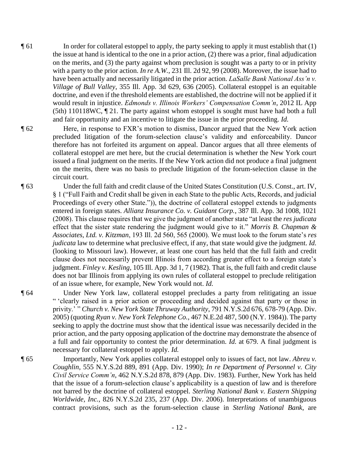- $\P$  61 In order for collateral estoppel to apply, the party seeking to apply it must establish that (1) the issue at hand is identical to the one in a prior action, (2) there was a prior, final adjudication on the merits, and (3) the party against whom preclusion is sought was a party to or in privity with a party to the prior action. *In re A.W.*, 231 Ill. 2d 92, 99 (2008). Moreover, the issue had to have been actually and necessarily litigated in the prior action. *LaSalle Bank National Ass'n v. Village of Bull Valley*, 355 Ill. App. 3d 629, 636 (2005). Collateral estoppel is an equitable doctrine, and even if the threshold elements are established, the doctrine will not be applied if it would result in injustice. *Edmonds v. Illinois Workers' Compensation Comm'n*, 2012 IL App (5th) 110118WC, ¶ 21. The party against whom estoppel is sought must have had both a full and fair opportunity and an incentive to litigate the issue in the prior proceeding. *Id.*
- ¶ 62 Here, in response to FXR's motion to dismiss, Dancor argued that the New York action precluded litigation of the forum-selection clause's validity and enforceability. Dancor therefore has not forfeited its argument on appeal. Dancor argues that all three elements of collateral estoppel are met here, but the crucial determination is whether the New York court issued a final judgment on the merits. If the New York action did not produce a final judgment on the merits, there was no basis to preclude litigation of the forum-selection clause in the circuit court.
- ¶ 63 Under the full faith and credit clause of the United States Constitution (U.S. Const., art. IV, § 1 ("Full Faith and Credit shall be given in each State to the public Acts, Records, and judicial Proceedings of every other State.")), the doctrine of collateral estoppel extends to judgments entered in foreign states. *Allianz Insurance Co. v. Guidant Corp.*, 387 Ill. App. 3d 1008, 1021 (2008). This clause requires that we give the judgment of another state "at least the *res judicata* effect that the sister state rendering the judgment would give to it." *Morris B. Chapman & Associates, Ltd. v. Kitzman*, 193 Ill. 2d 560, 565 (2000). We must look to the forum state's *res judicata* law to determine what preclusive effect, if any, that state would give the judgment. *Id.*  (looking to Missouri law). However, at least one court has held that the full faith and credit clause does not necessarily prevent Illinois from according greater effect to a foreign state's judgment. *Finley v. Kesling*, 105 Ill. App. 3d 1, 7 (1982). That is, the full faith and credit clause does not bar Illinois from applying its own rules of collateral estoppel to preclude relitigation of an issue where, for example, New York would not. *Id.*

¶ 64 Under New York law, collateral estoppel precludes a party from relitigating an issue " 'clearly raised in a prior action or proceeding and decided against that party or those in privity.' " *Church v. New York State Thruway Authority*, 791 N.Y.S.2d 676, 678-79 (App. Div. 2005) (quoting *Ryan v. New York Telephone Co.*, 467 N.E.2d 487, 500 (N.Y. 1984)). The party seeking to apply the doctrine must show that the identical issue was necessarily decided in the prior action, and the party opposing application of the doctrine may demonstrate the absence of a full and fair opportunity to contest the prior determination. *Id.* at 679. A final judgment is necessary for collateral estoppel to apply. *Id.*

¶ 65 Importantly, New York applies collateral estoppel only to issues of fact, not law. *Abreu v. Coughlin*, 555 N.Y.S.2d 889, 891 (App. Div. 1990); *In re Department of Personnel v. City Civil Service Comm'n*, 462 N.Y.S.2d 878, 879 (App. Div. 1983). Further, New York has held that the issue of a forum-selection clause's applicability is a question of law and is therefore not barred by the doctrine of collateral estoppel. *Sterling National Bank v. Eastern Shipping Worldwide, Inc.*, 826 N.Y.S.2d 235, 237 (App. Div. 2006). Interpretations of unambiguous contract provisions, such as the forum-selection clause in *Sterling National Bank*, are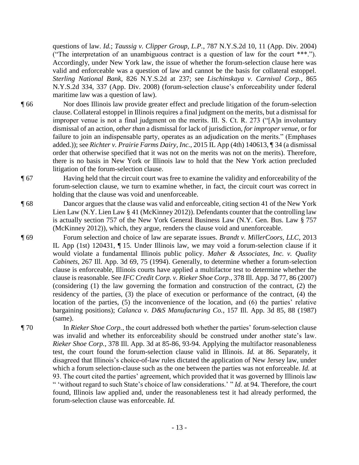questions of law. *Id.*; *Taussig v. Clipper Group, L.P.*, 787 N.Y.S.2d 10, 11 (App. Div. 2004) ("The interpretation of an unambiguous contract is a question of law for the court \*\*\*."). Accordingly, under New York law, the issue of whether the forum-selection clause here was valid and enforceable was a question of law and cannot be the basis for collateral estoppel. *Sterling National Bank*, 826 N.Y.S.2d at 237; see *Lischinskaya v. Carnival Corp.*, 865 N.Y.S.2d 334, 337 (App. Div. 2008) (forum-selection clause's enforceability under federal maritime law was a question of law).

¶ 66 Nor does Illinois law provide greater effect and preclude litigation of the forum-selection clause. Collateral estoppel in Illinois requires a final judgment on the merits, but a dismissal for improper venue is not a final judgment on the merits. Ill. S. Ct. R. 273 ("[A]n involuntary dismissal of an action, *other than* a dismissal for lack of jurisdiction, *for improper venue*, or for failure to join an indispensable party, operates as an adjudication on the merits." (Emphases added.)); see *Richter v. Prairie Farms Dairy, Inc.*, 2015 IL App (4th) 140613, ¶ 34 (a dismissal order that otherwise specified that it was not on the merits was not on the merits). Therefore, there is no basis in New York or Illinois law to hold that the New York action precluded litigation of the forum-selection clause.

¶ 67 Having held that the circuit court was free to examine the validity and enforceability of the forum-selection clause, we turn to examine whether, in fact, the circuit court was correct in holding that the clause was void and unenforceable.

- ¶ 68 Dancor argues that the clause was valid and enforceable, citing section 41 of the New York Lien Law (N.Y. Lien Law § 41 (McKinney 2012)). Defendants counter that the controlling law is actually section 757 of the New York General Business Law (N.Y. Gen. Bus. Law § 757 (McKinney 2012)), which, they argue, renders the clause void and unenforceable.
- ¶ 69 Forum selection and choice of law are separate issues. *Brandt v. MillerCoors, LLC*, 2013 IL App (1st) 120431, ¶ 15. Under Illinois law, we may void a forum-selection clause if it would violate a fundamental Illinois public policy. *Maher & Associates, Inc. v. Quality Cabinets*, 267 Ill. App. 3d 69, 75 (1994). Generally, to determine whether a forum-selection clause is enforceable, Illinois courts have applied a multifactor test to determine whether the clause is reasonable. See *IFC Credit Corp. v. Rieker Shoe Corp.*, 378 Ill. App. 3d 77, 86 (2007) (considering (1) the law governing the formation and construction of the contract, (2) the residency of the parties, (3) the place of execution or performance of the contract, (4) the location of the parties, (5) the inconvenience of the location, and (6) the parties' relative bargaining positions); *Calanca v. D&S Manufacturing Co.*, 157 Ill. App. 3d 85, 88 (1987) (same).
- ¶ 70 In *Rieker Shoe Corp.*, the court addressed both whether the parties' forum-selection clause was invalid and whether its enforceability should be construed under another state's law. *Rieker Shoe Corp.*, 378 Ill. App. 3d at 85-86, 93-94. Applying the multifactor reasonableness test, the court found the forum-selection clause valid in Illinois. *Id.* at 86. Separately, it disagreed that Illinois's choice-of-law rules dictated the application of New Jersey law, under which a forum selection-clause such as the one between the parties was not enforceable. *Id.* at 93. The court cited the parties' agreement, which provided that it was governed by Illinois law " 'without regard to such State's choice of law considerations.' "*Id.* at 94. Therefore, the court found, Illinois law applied and, under the reasonableness test it had already performed, the forum-selection clause was enforceable. *Id.*
	- 13 -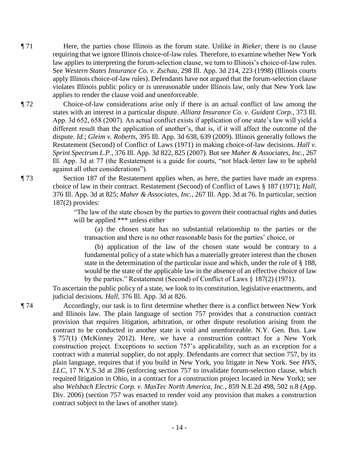¶ 71 Here, the parties chose Illinois as the forum state. Unlike in *Rieker*, there is no clause requiring that we ignore Illinois choice-of-law rules. Therefore, to examine whether New York law applies to interpreting the forum-selection clause, we turn to Illinois's choice-of-law rules. See *Western States Insurance Co. v. Zschau*, 298 Ill. App. 3d 214, 223 (1998) (Illinois courts apply Illinois choice-of-law rules). Defendants have not argued that the forum-selection clause violates Illinois public policy or is unreasonable under Illinois law, only that New York law applies to render the clause void and unenforceable.

¶ 72 Choice-of-law considerations arise only if there is an actual conflict of law among the states with an interest in a particular dispute. *Allianz Insurance Co. v. Guidant Corp.*, 373 Ill. App. 3d 652, 658 (2007). An actual conflict exists if application of one state's law will yield a different result than the application of another's, that is, if it will affect the outcome of the dispute. *Id.*; *Gleim v. Roberts*, 395 Ill. App. 3d 638, 639 (2009). Illinois generally follows the Restatement (Second) of Conflict of Laws (1971) in making choice-of-law decisions. *Hall v. Sprint Spectrum L.P.*, 376 Ill. App. 3d 822, 825 (2007). But see *Maher & Associates, Inc.*, 267 Ill. App. 3d at 77 (the Restatement is a guide for courts, "not black-letter law to be upheld against all other considerations").

¶ 73 Section 187 of the Restatement applies when, as here, the parties have made an express choice of law in their contract. Restatement (Second) of Conflict of Laws § 187 (1971); *Hall*, 376 Ill. App. 3d at 825; *Maher & Associates, Inc.*, 267 Ill. App. 3d at 76. In particular, section 187(2) provides:

> "The law of the state chosen by the parties to govern their contractual rights and duties will be applied \*\*\* unless either

 (a) the chosen state has no substantial relationship to the parties or the transaction and there is no other reasonable basis for the parties' choice, or

 (b) application of the law of the chosen state would be contrary to a fundamental policy of a state which has a materially greater interest than the chosen state in the determination of the particular issue and which, under the rule of § 188, would be the state of the applicable law in the absence of an effective choice of law by the parties." Restatement (Second) of Conflict of Laws § 187(2) (1971).

To ascertain the public policy of a state, we look to its constitution, legislative enactments, and judicial decisions. *Hall*, 376 Ill. App. 3d at 826.

¶ 74 Accordingly, our task is to first determine whether there is a conflict between New York and Illinois law. The plain language of section 757 provides that a construction contract provision that requires litigation, arbitration, or other dispute resolution arising from the contract to be conducted in another state is void and unenforceable. N.Y. Gen. Bus. Law § 757(1) (McKinney 2012). Here, we have a construction contract for a New York construction project. Exceptions to section 757's applicability, such as an exception for a contract with a material supplier, do not apply. Defendants are correct that section 757, by its plain language, requires that if you build in New York, you litigate in New York. See *HVS, LLC*, 17 N.Y.S.3d at 286 (enforcing section 757 to invalidate forum-selection clause, which required litigation in Ohio, in a contract for a construction project located in New York); see also *Welsbach Electric Corp. v. MasTec North America, Inc.*, 859 N.E.2d 498, 502 n.8 (App. Div. 2006) (section 757 was enacted to render void any provision that makes a construction contract subject to the laws of another state).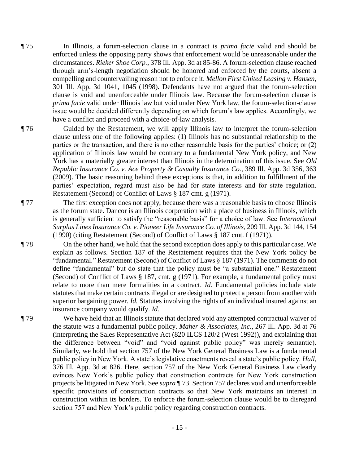¶ 75 In Illinois, a forum-selection clause in a contract is *prima facie* valid and should be enforced unless the opposing party shows that enforcement would be unreasonable under the circumstances. *Rieker Shoe Corp.*, 378 Ill. App. 3d at 85-86. A forum-selection clause reached through arm's-length negotiation should be honored and enforced by the courts, absent a compelling and countervailing reason not to enforce it. *Mellon First United Leasing v. Hansen*, 301 Ill. App. 3d 1041, 1045 (1998). Defendants have not argued that the forum-selection clause is void and unenforceable under Illinois law. Because the forum-selection clause is *prima facie* valid under Illinois law but void under New York law, the forum-selection-clause issue would be decided differently depending on which forum's law applies. Accordingly, we have a conflict and proceed with a choice-of-law analysis.

¶ 76 Guided by the Restatement, we will apply Illinois law to interpret the forum-selection clause unless one of the following applies: (1) Illinois has no substantial relationship to the parties or the transaction, and there is no other reasonable basis for the parties' choice; or (2) application of Illinois law would be contrary to a fundamental New York policy, and New York has a materially greater interest than Illinois in the determination of this issue. See *Old Republic Insurance Co. v. Ace Property & Casualty Insurance Co.*, 389 Ill. App. 3d 356, 363 (2009). The basic reasoning behind these exceptions is that, in addition to fulfillment of the parties' expectation, regard must also be had for state interests and for state regulation. Restatement (Second) of Conflict of Laws § 187 cmt. g (1971).

¶ 77 The first exception does not apply, because there was a reasonable basis to choose Illinois as the forum state. Dancor is an Illinois corporation with a place of business in Illinois, which is generally sufficient to satisfy the "reasonable basis" for a choice of law. See *International Surplus Lines Insurance Co. v. Pioneer Life Insurance Co. of Illinois*, 209 Ill. App. 3d 144, 154 (1990) (citing Restatement (Second) of Conflict of Laws § 187 cmt. f (1971)).

¶ 78 On the other hand, we hold that the second exception does apply to this particular case. We explain as follows. Section 187 of the Restatement requires that the New York policy be "fundamental." Restatement (Second) of Conflict of Laws § 187 (1971). The comments do not define "fundamental" but do state that the policy must be "a substantial one." Restatement (Second) of Conflict of Laws § 187, cmt. g (1971). For example, a fundamental policy must relate to more than mere formalities in a contract. *Id.* Fundamental policies include state statutes that make certain contracts illegal or are designed to protect a person from another with superior bargaining power. *Id.* Statutes involving the rights of an individual insured against an insurance company would qualify. *Id.*

¶ 79 We have held that an Illinois statute that declared void any attempted contractual waiver of the statute was a fundamental public policy. *Maher & Associates, Inc.*, 267 Ill. App. 3d at 76 (interpreting the Sales Representative Act (820 ILCS 120/2 (West 1992)), and explaining that the difference between "void" and "void against public policy" was merely semantic). Similarly, we hold that section 757 of the New York General Business Law is a fundamental public policy in New York. A state's legislative enactments reveal a state's public policy. *Hall*, 376 Ill. App. 3d at 826. Here, section 757 of the New York General Business Law clearly evinces New York's public policy that construction contracts for New York construction projects be litigated in New York. See *supra* ¶ 73. Section 757 declares void and unenforceable specific provisions of construction contracts so that New York maintains an interest in construction within its borders. To enforce the forum-selection clause would be to disregard section 757 and New York's public policy regarding construction contracts.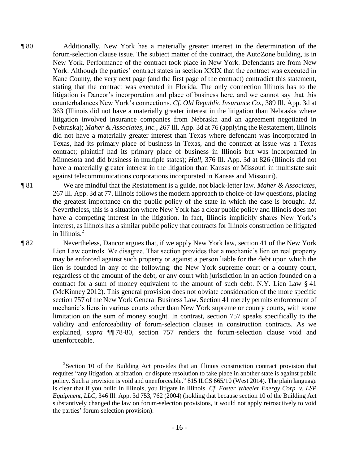¶ 80 Additionally, New York has a materially greater interest in the determination of the forum-selection clause issue. The subject matter of the contract, the AutoZone building, is in New York. Performance of the contract took place in New York. Defendants are from New York. Although the parties' contract states in section XXIX that the contract was executed in Kane County, the very next page (and the first page of the contract) contradict this statement, stating that the contract was executed in Florida. The only connection Illinois has to the litigation is Dancor's incorporation and place of business here, and we cannot say that this counterbalances New York's connections. *Cf. Old Republic Insurance Co.*, 389 Ill. App. 3d at 363 (Illinois did not have a materially greater interest in the litigation than Nebraska where litigation involved insurance companies from Nebraska and an agreement negotiated in Nebraska); *Maher & Associates, Inc.*, 267 Ill. App. 3d at 76 (applying the Restatement, Illinois did not have a materially greater interest than Texas where defendant was incorporated in Texas, had its primary place of business in Texas, and the contract at issue was a Texas contract; plaintiff had its primary place of business in Illinois but was incorporated in Minnesota and did business in multiple states); *Hall*, 376 Ill. App. 3d at 826 (Illinois did not have a materially greater interest in the litigation than Kansas or Missouri in multistate suit against telecommunications corporations incorporated in Kansas and Missouri).

¶ 81 We are mindful that the Restatement is a guide, not black-letter law. *Maher & Associates*, 267 Ill. App. 3d at 77. Illinois follows the modern approach to choice-of-law questions, placing the greatest importance on the public policy of the state in which the case is brought. *Id.* Nevertheless, this is a situation where New York has a clear public policy and Illinois does not have a competing interest in the litigation. In fact, Illinois implicitly shares New York's interest, as Illinois has a similar public policy that contracts for Illinois construction be litigated in Illinois. $<sup>2</sup>$ </sup>

 $\overline{a}$ 

¶ 82 Nevertheless, Dancor argues that, if we apply New York law, section 41 of the New York Lien Law controls. We disagree. That section provides that a mechanic's lien on real property may be enforced against such property or against a person liable for the debt upon which the lien is founded in any of the following: the New York supreme court or a county court, regardless of the amount of the debt, or any court with jurisdiction in an action founded on a contract for a sum of money equivalent to the amount of such debt. N.Y. Lien Law § 41 (McKinney 2012). This general provision does not obviate consideration of the more specific section 757 of the New York General Business Law. Section 41 merely permits enforcement of mechanic's liens in various courts other than New York supreme or county courts, with some limitation on the sum of money sought. In contrast, section 757 speaks specifically to the validity and enforceability of forum-selection clauses in construction contracts. As we explained, *supra* ¶¶ 78-80, section 757 renders the forum-selection clause void and unenforceable.

 $2$ Section 10 of the Building Act provides that an Illinois construction contract provision that requires "any litigation, arbitration, or dispute resolution to take place in another state is against public policy. Such a provision is void and unenforceable." 815 ILCS 665/10 (West 2014). The plain language is clear that if you build in Illinois, you litigate in Illinois. *Cf. Foster Wheeler Energy Corp. v. LSP Equipment, LLC*, 346 Ill. App. 3d 753, 762 (2004) (holding that because section 10 of the Building Act substantively changed the law on forum-selection provisions, it would not apply retroactively to void the parties' forum-selection provision).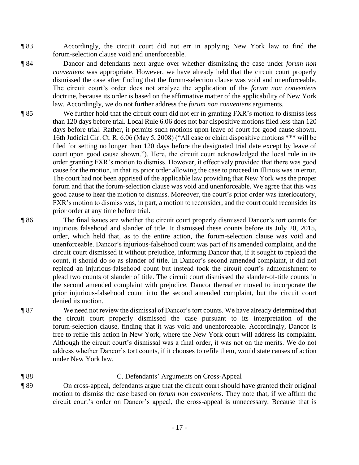- ¶ 83 Accordingly, the circuit court did not err in applying New York law to find the forum-selection clause void and unenforceable.
- ¶ 84 Dancor and defendants next argue over whether dismissing the case under *forum non conveniens* was appropriate. However, we have already held that the circuit court properly dismissed the case after finding that the forum-selection clause was void and unenforceable. The circuit court's order does not analyze the application of the *forum non conveniens* doctrine, because its order is based on the affirmative matter of the applicability of New York law. Accordingly, we do not further address the *forum non conveniens* arguments.
- ¶ 85 We further hold that the circuit court did not err in granting FXR's motion to dismiss less than 120 days before trial. Local Rule 6.06 does not bar dispositive motions filed less than 120 days before trial. Rather, it permits such motions upon leave of court for good cause shown. 16th Judicial Cir. Ct. R. 6.06 (May 5, 2008) ("All case or claim dispositive motions \*\*\* will be filed for setting no longer than 120 days before the designated trial date except by leave of court upon good cause shown."). Here, the circuit court acknowledged the local rule in its order granting FXR's motion to dismiss. However, it effectively provided that there was good cause for the motion, in that its prior order allowing the case to proceed in Illinois was in error. The court had not been apprised of the applicable law providing that New York was the proper forum and that the forum-selection clause was void and unenforceable. We agree that this was good cause to hear the motion to dismiss. Moreover, the court's prior order was interlocutory, FXR's motion to dismiss was, in part, a motion to reconsider, and the court could reconsider its prior order at any time before trial.

¶ 86 The final issues are whether the circuit court properly dismissed Dancor's tort counts for injurious falsehood and slander of title. It dismissed these counts before its July 20, 2015, order, which held that, as to the entire action, the forum-selection clause was void and unenforceable. Dancor's injurious-falsehood count was part of its amended complaint, and the circuit court dismissed it without prejudice, informing Dancor that, if it sought to replead the count, it should do so as slander of title. In Dancor's second amended complaint, it did not replead an injurious-falsehood count but instead took the circuit court's admonishment to plead two counts of slander of title. The circuit court dismissed the slander-of-title counts in the second amended complaint with prejudice. Dancor thereafter moved to incorporate the prior injurious-falsehood count into the second amended complaint, but the circuit court denied its motion.

¶ 87 We need not review the dismissal of Dancor's tort counts. We have already determined that the circuit court properly dismissed the case pursuant to its interpretation of the forum-selection clause, finding that it was void and unenforceable. Accordingly, Dancor is free to refile this action in New York, where the New York court will address its complaint. Although the circuit court's dismissal was a final order, it was not on the merits. We do not address whether Dancor's tort counts, if it chooses to refile them, would state causes of action under New York law.

¶ 88 C. Defendants' Arguments on Cross-Appeal ¶ 89 On cross-appeal, defendants argue that the circuit court should have granted their original motion to dismiss the case based on *forum non conveniens*. They note that, if we affirm the circuit court's order on Dancor's appeal, the cross-appeal is unnecessary. Because that is